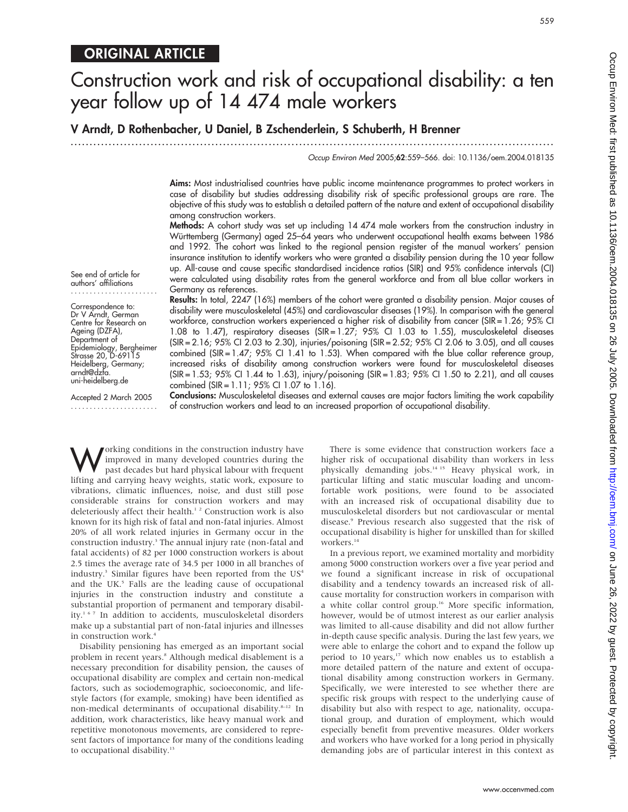# ORIGINAL ARTICLE

# Construction work and risk of occupational disability: a ten year follow up of 14 474 male workers

V Arndt, D Rothenbacher, U Daniel, B Zschenderlein, S Schuberth, H Brenner

...............................................................................................................................

Occup Environ Med 2005;62:559–566. doi: 10.1136/oem.2004.018135

Aims: Most industrialised countries have public income maintenance programmes to protect workers in case of disability but studies addressing disability risk of specific professional groups are rare. The objective of this study was to establish a detailed pattern of the nature and extent of occupational disability among construction workers.

Methods: A cohort study was set up including 14 474 male workers from the construction industry in Württemberg (Germany) aged 25-64 years who underwent occupational health exams between 1986 and 1992. The cohort was linked to the regional pension register of the manual workers' pension insurance institution to identify workers who were granted a disability pension during the 10 year follow up. All-cause and cause specific standardised incidence ratios (SIR) and 95% confidence intervals (CI) were calculated using disability rates from the general workforce and from all blue collar workers in Germany as references. Results: In total, 2247 (16%) members of the cohort were granted a disability pension. Major causes of

disability were musculoskeletal (45%) and cardiovascular diseases (19%). In comparison with the general workforce, construction workers experienced a higher risk of disability from cancer (SIR = 1.26; 95% CI 1.08 to 1.47), respiratory diseases (SIR = 1.27; 95% CI 1.03 to 1.55), musculoskeletal diseases (SIR = 2.16; 95% CI 2.03 to 2.30), injuries/poisoning (SIR = 2.52; 95% CI 2.06 to 3.05), and all causes combined (SIR = 1.47; 95% CI 1.41 to 1.53). When compared with the blue collar reference group, increased risks of disability among construction workers were found for musculoskeletal diseases (SIR = 1.53; 95% CI 1.44 to 1.63), injury/poisoning (SIR = 1.83; 95% CI 1.50 to 2.21), and all causes

See end of article for authors' affiliations .......................

Correspondence to: Dr V Arndt, German Centre for Research on Ageing (DZFA), Department of Epidemiology, Bergheimer Strasse 20, D-69115 Heidelberg, Germany; arndt@dzfa. uni-heidelberg.de

Accepted 2 March 2005 ....................... combined (SIR = 1.11; 95% CI 1.07 to 1.16). Conclusions: Musculoskeletal diseases and external causes are major factors limiting the work capability of construction workers and lead to an increased proportion of occupational disability.

Working conditions in the construction industry have<br>past decades but hard physical labour with frequent<br>lifting and aggreging boxy with the stationary to suppose to improved in many developed countries during the past decades but hard physical labour with frequent lifting and carrying heavy weights, static work, exposure to vibrations, climatic influences, noise, and dust still pose considerable strains for construction workers and may deleteriously affect their health.<sup>12</sup> Construction work is also known for its high risk of fatal and non-fatal injuries. Almost 20% of all work related injuries in Germany occur in the construction industry.<sup>3</sup> The annual injury rate (non-fatal and fatal accidents) of 82 per 1000 construction workers is about 2.5 times the average rate of 34.5 per 1000 in all branches of industry.<sup>3</sup> Similar figures have been reported from the US<sup>4</sup> and the UK.<sup>5</sup> Falls are the leading cause of occupational injuries in the construction industry and constitute a substantial proportion of permanent and temporary disability.<sup>167</sup> In addition to accidents, musculoskeletal disorders make up a substantial part of non-fatal injuries and illnesses in construction work.<sup>4</sup>

Disability pensioning has emerged as an important social problem in recent years.<sup>8</sup> Although medical disablement is a necessary precondition for disability pension, the causes of occupational disability are complex and certain non-medical factors, such as sociodemographic, socioeconomic, and lifestyle factors (for example, smoking) have been identified as non-medical determinants of occupational disability.<sup>8-12</sup> In addition, work characteristics, like heavy manual work and repetitive monotonous movements, are considered to represent factors of importance for many of the conditions leading to occupational disability.<sup>13</sup>

There is some evidence that construction workers face a higher risk of occupational disability than workers in less physically demanding jobs.<sup>14 15</sup> Heavy physical work, in particular lifting and static muscular loading and uncomfortable work positions, were found to be associated with an increased risk of occupational disability due to musculoskeletal disorders but not cardiovascular or mental disease.9 Previous research also suggested that the risk of occupational disability is higher for unskilled than for skilled workers.<sup>14</sup>

In a previous report, we examined mortality and morbidity among 5000 construction workers over a five year period and we found a significant increase in risk of occupational disability and a tendency towards an increased risk of allcause mortality for construction workers in comparison with a white collar control group.16 More specific information, however, would be of utmost interest as our earlier analysis was limited to all-cause disability and did not allow further in-depth cause specific analysis. During the last few years, we were able to enlarge the cohort and to expand the follow up period to 10 years, $17$  which now enables us to establish a more detailed pattern of the nature and extent of occupational disability among construction workers in Germany. Specifically, we were interested to see whether there are specific risk groups with respect to the underlying cause of disability but also with respect to age, nationality, occupational group, and duration of employment, which would especially benefit from preventive measures. Older workers and workers who have worked for a long period in physically demanding jobs are of particular interest in this context as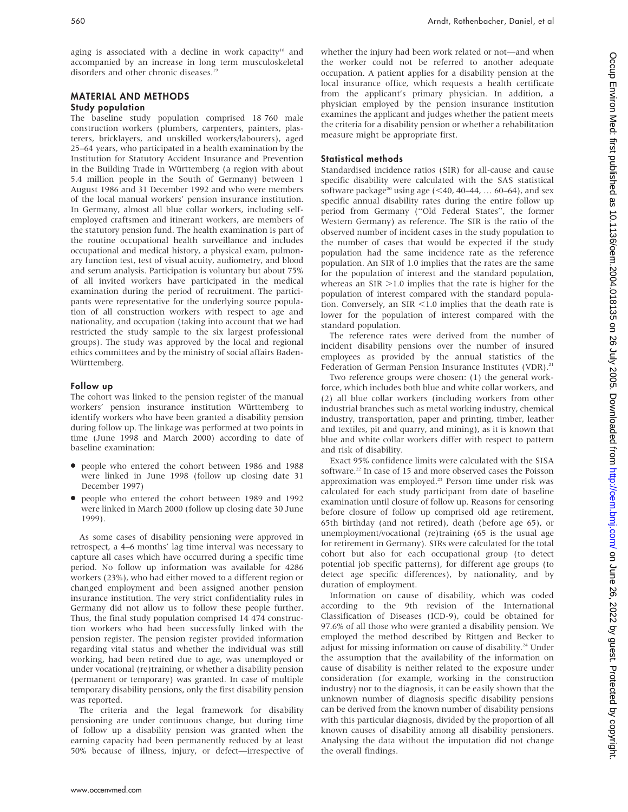aging is associated with a decline in work capacity<sup>18</sup> and accompanied by an increase in long term musculoskeletal disorders and other chronic diseases.<sup>1</sup>

# MATERIAL AND METHODS

## Study population

The baseline study population comprised 18 760 male construction workers (plumbers, carpenters, painters, plasterers, bricklayers, and unskilled workers/labourers), aged 25–64 years, who participated in a health examination by the Institution for Statutory Accident Insurance and Prevention in the Building Trade in Württemberg (a region with about 5.4 million people in the South of Germany) between 1 August 1986 and 31 December 1992 and who were members of the local manual workers' pension insurance institution. In Germany, almost all blue collar workers, including selfemployed craftsmen and itinerant workers, are members of the statutory pension fund. The health examination is part of the routine occupational health surveillance and includes occupational and medical history, a physical exam, pulmonary function test, test of visual acuity, audiometry, and blood and serum analysis. Participation is voluntary but about 75% of all invited workers have participated in the medical examination during the period of recruitment. The participants were representative for the underlying source population of all construction workers with respect to age and nationality, and occupation (taking into account that we had restricted the study sample to the six largest professional groups). The study was approved by the local and regional ethics committees and by the ministry of social affairs Baden-Württemberg.

#### Follow up

The cohort was linked to the pension register of the manual workers' pension insurance institution Württemberg to identify workers who have been granted a disability pension during follow up. The linkage was performed at two points in time (June 1998 and March 2000) according to date of baseline examination:

- people who entered the cohort between 1986 and 1988 were linked in June 1998 (follow up closing date 31 December 1997)
- people who entered the cohort between 1989 and 1992 were linked in March 2000 (follow up closing date 30 June 1999).

As some cases of disability pensioning were approved in retrospect, a 4–6 months' lag time interval was necessary to capture all cases which have occurred during a specific time period. No follow up information was available for 4286 workers (23%), who had either moved to a different region or changed employment and been assigned another pension insurance institution. The very strict confidentiality rules in Germany did not allow us to follow these people further. Thus, the final study population comprised 14 474 construction workers who had been successfully linked with the pension register. The pension register provided information regarding vital status and whether the individual was still working, had been retired due to age, was unemployed or under vocational (re)training, or whether a disability pension (permanent or temporary) was granted. In case of multiple temporary disability pensions, only the first disability pension was reported.

The criteria and the legal framework for disability pensioning are under continuous change, but during time of follow up a disability pension was granted when the earning capacity had been permanently reduced by at least 50% because of illness, injury, or defect—irrespective of whether the injury had been work related or not—and when the worker could not be referred to another adequate occupation. A patient applies for a disability pension at the local insurance office, which requests a health certificate from the applicant's primary physician. In addition, a physician employed by the pension insurance institution examines the applicant and judges whether the patient meets the criteria for a disability pension or whether a rehabilitation measure might be appropriate first.

#### Statistical methods

Standardised incidence ratios (SIR) for all-cause and cause specific disability were calculated with the SAS statistical software package<sup>20</sup> using age (<40, 40–44, ... 60–64), and sex specific annual disability rates during the entire follow up period from Germany (''Old Federal States'', the former Western Germany) as reference. The SIR is the ratio of the observed number of incident cases in the study population to the number of cases that would be expected if the study population had the same incidence rate as the reference population. An SIR of 1.0 implies that the rates are the same for the population of interest and the standard population, whereas an  $SIR > 1.0$  implies that the rate is higher for the population of interest compared with the standard population. Conversely, an  $SIR < 1.0$  implies that the death rate is lower for the population of interest compared with the standard population.

The reference rates were derived from the number of incident disability pensions over the number of insured employees as provided by the annual statistics of the Federation of German Pension Insurance Institutes (VDR).<sup>21</sup>

Two reference groups were chosen: (1) the general workforce, which includes both blue and white collar workers, and (2) all blue collar workers (including workers from other industrial branches such as metal working industry, chemical industry, transportation, paper and printing, timber, leather and textiles, pit and quarry, and mining), as it is known that blue and white collar workers differ with respect to pattern and risk of disability.

Exact 95% confidence limits were calculated with the SISA software.<sup>22</sup> In case of 15 and more observed cases the Poisson approximation was employed.23 Person time under risk was calculated for each study participant from date of baseline examination until closure of follow up. Reasons for censoring before closure of follow up comprised old age retirement, 65th birthday (and not retired), death (before age 65), or unemployment/vocational (re)training (65 is the usual age for retirement in Germany). SIRs were calculated for the total cohort but also for each occupational group (to detect potential job specific patterns), for different age groups (to detect age specific differences), by nationality, and by duration of employment.

Information on cause of disability, which was coded according to the 9th revision of the International Classification of Diseases (ICD-9), could be obtained for 97.6% of all those who were granted a disability pension. We employed the method described by Rittgen and Becker to adjust for missing information on cause of disability.<sup>24</sup> Under the assumption that the availability of the information on cause of disability is neither related to the exposure under consideration (for example, working in the construction industry) nor to the diagnosis, it can be easily shown that the unknown number of diagnosis specific disability pensions can be derived from the known number of disability pensions with this particular diagnosis, divided by the proportion of all known causes of disability among all disability pensioners. Analysing the data without the imputation did not change the overall findings.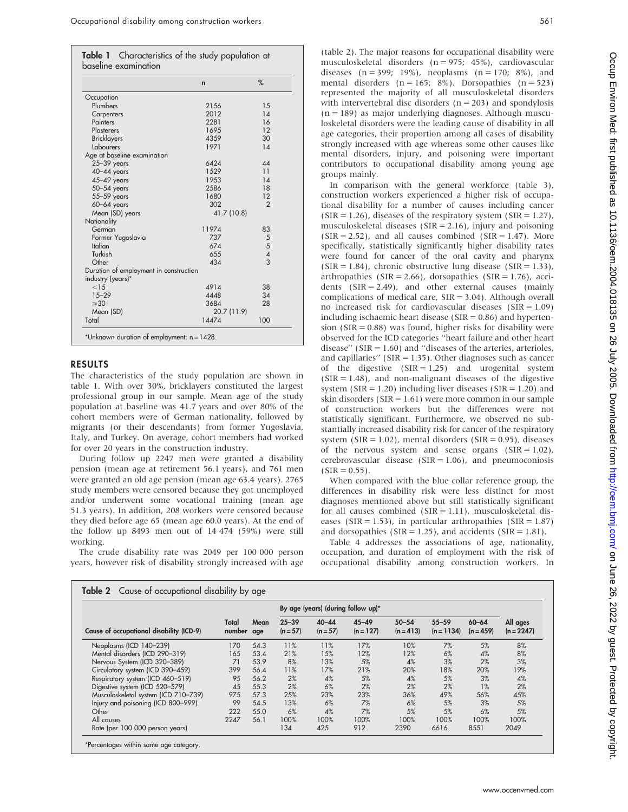| Table 1 Characteristics of the study population at |  |  |
|----------------------------------------------------|--|--|
| baseline examination                               |  |  |

|                                        | $\mathbf n$ | %                        |
|----------------------------------------|-------------|--------------------------|
| Occupation                             |             |                          |
| Plumbers                               | 2156        | 15                       |
| Carpenters                             | 2012        | 14                       |
| Painters                               | 2281        | 16                       |
| Plasterers                             | 1695        | 12                       |
| <b>Bricklayers</b>                     | 4359        | 30                       |
| Labourers                              | 1971        | 14                       |
| Age at baseline examination            |             |                          |
| $25 - 39$ years                        | 6424        | 44                       |
| $40 - 44$ years                        | 1529        | 11                       |
| $45 - 49$ years                        | 1953        | 14                       |
| $50 - 54$ years                        | 2586        | 18                       |
| 55-59 years                            | 1680        | 12                       |
| $60 - 64$ years                        | 302         | $\overline{2}$           |
| Mean (SD) years                        | 41.7 (10.8) |                          |
| Nationality                            |             |                          |
| German                                 | 11974       | 83                       |
| Former Yugoslavia                      | 737         | 5                        |
| Italian                                | 674         | 5                        |
| Turkish                                | 655         | $\overline{\mathcal{A}}$ |
| Other                                  | 434         | 3                        |
| Duration of employment in construction |             |                          |
| industry (years)*                      |             |                          |
| < 15                                   | 4914        | 38                       |
| $15 - 29$                              | 4448        | 34                       |
| $\geqslant$ 30                         | 3684        | 28                       |
| Mean (SD)                              | 20.7 (11.9) |                          |
| Total                                  | 14474       | 100                      |

#### RESULTS

The characteristics of the study population are shown in table 1. With over 30%, bricklayers constituted the largest professional group in our sample. Mean age of the study population at baseline was 41.7 years and over 80% of the cohort members were of German nationality, followed by migrants (or their descendants) from former Yugoslavia, Italy, and Turkey. On average, cohort members had worked for over 20 years in the construction industry.

During follow up 2247 men were granted a disability pension (mean age at retirement 56.1 years), and 761 men were granted an old age pension (mean age 63.4 years). 2765 study members were censored because they got unemployed and/or underwent some vocational training (mean age 51.3 years). In addition, 208 workers were censored because they died before age 65 (mean age 60.0 years). At the end of the follow up 8493 men out of 14 474 (59%) were still working.

The crude disability rate was 2049 per 100 000 person years, however risk of disability strongly increased with age (table 2). The major reasons for occupational disability were musculoskeletal disorders (n = 975; 45%), cardiovascular diseases  $(n = 399; 19\%)$ , neoplasms  $(n = 170; 8\%)$ , and mental disorders  $(n = 165; 8\%)$ . Dorsopathies  $(n = 523)$ represented the majority of all musculoskeletal disorders with intervertebral disc disorders  $(n = 203)$  and spondylosis (n = 189) as major underlying diagnoses. Although musculoskeletal disorders were the leading cause of disability in all age categories, their proportion among all cases of disability strongly increased with age whereas some other causes like mental disorders, injury, and poisoning were important contributors to occupational disability among young age groups mainly.

In comparison with the general workforce (table 3), construction workers experienced a higher risk of occupational disability for a number of causes including cancer  $(SIR = 1.26)$ , diseases of the respiratory system  $(SIR = 1.27)$ , musculoskeletal diseases (SIR = 2.16), injury and poisoning  $(SIR = 2.52)$ , and all causes combined  $(SIR = 1.47)$ . More specifically, statistically significantly higher disability rates were found for cancer of the oral cavity and pharynx  $(SIR = 1.84)$ , chronic obstructive lung disease  $(SIR = 1.33)$ , arthropathies ( $SIR = 2.66$ ), dorsopathies ( $SIR = 1.76$ ), accidents  $(SIR = 2.49)$ , and other external causes (mainly complications of medical care, SIR = 3.04). Although overall no increased risk for cardiovascular diseases (SIR = 1.09) including ischaemic heart disease ( $SIR = 0.86$ ) and hypertension ( $SIR = 0.88$ ) was found, higher risks for disability were observed for the ICD categories ''heart failure and other heart disease'' ( $SIR = 1.60$ ) and "diseases of the arteries, arterioles, and capillaries'' ( $SIR = 1.35$ ). Other diagnoses such as cancer of the digestive  $(SIR = 1.25)$  and urogenital system  $(SIR = 1.48)$ , and non-malignant diseases of the digestive system ( $SIR = 1.20$ ) including liver diseases ( $SIR = 1.20$ ) and skin disorders (SIR = 1.61) were more common in our sample of construction workers but the differences were not statistically significant. Furthermore, we observed no substantially increased disability risk for cancer of the respiratory system ( $SIR = 1.02$ ), mental disorders ( $SIR = 0.95$ ), diseases of the nervous system and sense organs  $(SIR = 1.02)$ , cerebrovascular disease ( $SIR = 1.06$ ), and pneumoconiosis  $(SIR = 0.55)$ .

When compared with the blue collar reference group, the differences in disability risk were less distinct for most diagnoses mentioned above but still statistically significant for all causes combined (SIR = 1.11), musculoskeletal diseases ( $SIR = 1.53$ ), in particular arthropathies ( $SIR = 1.87$ ) and dorsopathies ( $SIR = 1.25$ ), and accidents ( $SIR = 1.81$ ).

Table 4 addresses the associations of age, nationality, occupation, and duration of employment with the risk of occupational disability among construction workers. In

|                                          |                     |      |                         | By age (years) (during follow up)* |                          |                          |                           |                          |                          |
|------------------------------------------|---------------------|------|-------------------------|------------------------------------|--------------------------|--------------------------|---------------------------|--------------------------|--------------------------|
| Cause of occupational disability (ICD-9) | Total<br>number age | Mean | $25 - 39$<br>$(n = 57)$ | $40 - 44$<br>$(n = 57)$            | $45 - 49$<br>$(n = 127)$ | $50 - 54$<br>$(n = 413)$ | $55 - 59$<br>$(n = 1134)$ | $60 - 64$<br>$(n = 459)$ | All ages<br>$(n = 2247)$ |
| Neoplasms (ICD 140-239)                  | 170                 | 54.3 | 11%                     | 11%                                | 17%                      | 10%                      | 7%                        | 5%                       | 8%                       |
| Mental disorders (ICD 290-319)           | 165                 | 53.4 | 21%                     | 15%                                | 12%                      | 12%                      | 6%                        | 4%                       | 8%                       |
| Nervous System (ICD 320-389)             | 71                  | 53.9 | 8%                      | 13%                                | 5%                       | 4%                       | 3%                        | 2%                       | 3%                       |
| Circulatory system (ICD 390-459)         | 399                 | 56.4 | 11%                     | 17%                                | 21%                      | 20%                      | 18%                       | 20%                      | 19%                      |
| Respiratory system (ICD 460-519)         | 95                  | 56.2 | 2%                      | 4%                                 | 5%                       | 4%                       | 5%                        | 3%                       | 4%                       |
| Digestive system (ICD 520-579)           | 45                  | 55.3 | 2%                      | 6%                                 | 2%                       | 2%                       | 2%                        | 1%                       | 2%                       |
| Musculoskeletal system (ICD 710-739)     | 975                 | 57.3 | 25%                     | 23%                                | 23%                      | 36%                      | 49%                       | 56%                      | 45%                      |
| Injury and poisoning (ICD 800-999)       | 99                  | 54.5 | 13%                     | 6%                                 | 7%                       | 6%                       | 5%                        | 3%                       | 5%                       |
| Other                                    | 222                 | 55.0 | 6%                      | 4%                                 | 7%                       | 5%                       | 5%                        | 6%                       | 5%                       |
| All causes                               | 2247                | 56.1 | 100%                    | 100%                               | 100%                     | 100%                     | 100%                      | 100%                     | 100%                     |
| Rate (per 100 000 person years)          |                     |      | 134                     | 425                                | 912                      | 2390                     | 6616                      | 8551                     | 2049                     |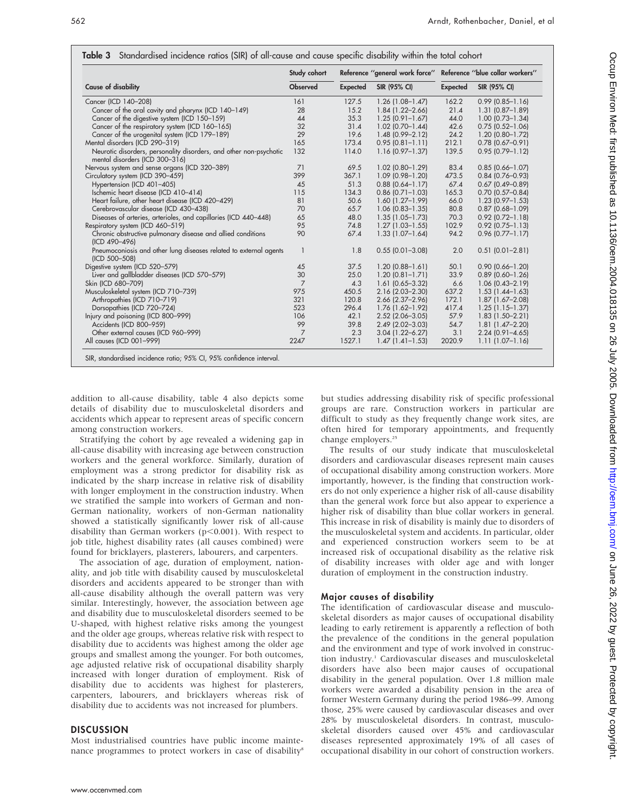|                                                                                                      | Study cohort    |          | Reference "general work force" Reference "blue collar workers" |                 |                        |
|------------------------------------------------------------------------------------------------------|-----------------|----------|----------------------------------------------------------------|-----------------|------------------------|
| <b>Cause of disability</b>                                                                           | <b>Observed</b> | Expected | <b>SIR (95% CI)</b>                                            | <b>Expected</b> | <b>SIR (95% CI)</b>    |
| Cancer (ICD 140-208)                                                                                 | 161             | 127.5    | $1.26$ (1.08-1.47)                                             | 162.2           | $0.99$ $(0.85 - 1.16)$ |
| Cancer of the oral cavity and pharynx (ICD 140-149)                                                  | 28              | 15.2     | $1.84(1.22 - 2.66)$                                            | 21.4            | $1.31(0.87 - 1.89)$    |
| Cancer of the digestive system (ICD 150-159)                                                         | 44              | 35.3     | $1.25(0.91 - 1.67)$                                            | 44.0            | $1.00$ (0.73-1.34)     |
| Cancer of the respiratory system (ICD 160-165)                                                       | 32              | 31.4     | $1.02$ (0.70-1.44)                                             | 42.6            | $0.75$ $(0.52 - 1.06)$ |
| Cancer of the urogenital system (ICD 179-189)                                                        | 29              | 19.6     | $1.48(0.99 - 2.12)$                                            | 24.2            | $1.20(0.80 - 1.72)$    |
| Mental disorders (ICD 290-319)                                                                       | 165             | 173.4    | $0.95(0.81 - 1.11)$                                            | 212.1           | $0.78$ (0.67-0.91)     |
| Neurotic disorders, personality disorders, and other non-psychotic<br>mental disorders (ICD 300-316) | 132             | 114.0    | $1.16(0.97 - 1.37)$                                            | 139.5           | $0.95(0.79 - 1.12)$    |
| Nervous system and sense organs (ICD 320-389)                                                        | 71              | 69.5     | $1.02$ (0.80-1.29)                                             | 83.4            | $0.85$ $(0.66 - 1.07)$ |
| Circulatory system (ICD 390-459)                                                                     | 399             | 367.1    | $1.09(0.98 - 1.20)$                                            | 473.5           | $0.84$ (0.76-0.93)     |
| Hypertension (ICD 401-405)                                                                           | 45              | 51.3     | $0.88$ $(0.64 - 1.17)$                                         | 67.4            | $0.67$ (0.49-0.89)     |
| Ischemic heart disease (ICD 410-414)                                                                 | 115             | 134.3    | $0.86$ (0.71-1.03)                                             | 165.3           | $0.70$ (0.57-0.84)     |
| Heart failure, other heart disease (ICD 420-429)                                                     | 81              | 50.6     | $1.60$ $(1.27-1.99)$                                           | 66.0            | $1.23$ (0.97-1.53)     |
| Cerebrovascular disease (ICD 430-438)                                                                | 70              | 65.7     | $1.06$ (0.83-1.35)                                             | 80.8            | $0.87$ (0.68-1.09)     |
| Diseases of arteries, arterioles, and capillaries (ICD 440-448)                                      | 65              | 48.0     | $1.35(1.05 - 1.73)$                                            | 70.3            | $0.92$ $(0.72 - 1.18)$ |
| Respiratory system (ICD 460-519)                                                                     | 95              | 74.8     | $1.27$ (1.03-1.55)                                             | 102.9           | $0.92$ (0.75-1.13)     |
| Chronic obstructive pulmonary disease and allied conditions<br>(ICD 490-496)                         | 90              | 67.4     | $1.33(1.07 - 1.64)$                                            | 94.2            | $0.96$ $(0.77 - 1.17)$ |
| Pneumoconiosis and other lung diseases related to external agents<br>$(ICD 500 - 508)$               | $\mathbf{1}$    | 1.8      | $0.55(0.01 - 3.08)$                                            | 2.0             | $0.51(0.01 - 2.81)$    |
| Digestive system (ICD 520-579)                                                                       | 45              | 37.5     | $1.20(0.88 - 1.61)$                                            | 50.1            | $0.90$ $(0.66 - 1.20)$ |
| Liver and gallbladder diseases (ICD 570-579)                                                         | 30              | 25.0     | $1.20(0.81 - 1.71)$                                            | 33.9            | $0.89$ (0.60-1.26)     |
| Skin (ICD 680-709)                                                                                   | $\overline{7}$  | 4.3      | $1.61$ (0.65-3.32)                                             | 6.6             | $1.06$ (0.43-2.19)     |
| Musculoskeletal system (ICD 710-739)                                                                 | 975             | 450.5    | $2.16$ (2.03-2.30)                                             | 637.2           | $1.53$ $(1.44 - 1.63)$ |
| Arthropathies (ICD 710-719)                                                                          | 321             | 120.8    | $2.66$ $(2.37 - 2.96)$                                         | 172.1           | $1.87(1.67 - 2.08)$    |
| Dorsopathies (ICD 720-724)                                                                           | 523             | 296.4    | $1.76$ (1.62-1.92)                                             | 417.4           | $1.25(1.15 - 1.37)$    |
| Injury and poisoning (ICD 800-999)                                                                   | 106             | 42.1     | $2.52$ (2.06-3.05)                                             | 57.9            | $1.83(1.50 - 2.21)$    |
| Accidents (ICD 800-959)                                                                              | 99              | 39.8     | $2.49$ (2.02-3.03)                                             | 54.7            | $1.81(1.47 - 2.20)$    |
| Other external causes (ICD 960-999)                                                                  | $\overline{7}$  | 2.3      | $3.04(1.22 - 6.27)$                                            | 3.1             | $2.24$ (0.91-4.65)     |
| All causes (ICD 001-999)                                                                             | 2247            | 1527.1   | $1.47(1.41 - 1.53)$                                            | 2020.9          | $1.11(1.07-1.16)$      |

Table 3 Standardised incidence ratios (SIR) of all-cause and cause specific disability within the total cohort

addition to all-cause disability, table 4 also depicts some details of disability due to musculoskeletal disorders and accidents which appear to represent areas of specific concern among construction workers.

Stratifying the cohort by age revealed a widening gap in all-cause disability with increasing age between construction workers and the general workforce. Similarly, duration of employment was a strong predictor for disability risk as indicated by the sharp increase in relative risk of disability with longer employment in the construction industry. When we stratified the sample into workers of German and non-German nationality, workers of non-German nationality showed a statistically significantly lower risk of all-cause disability than German workers ( $p$ <0.001). With respect to job title, highest disability rates (all causes combined) were found for bricklayers, plasterers, labourers, and carpenters.

The association of age, duration of employment, nationality, and job title with disability caused by musculoskeletal disorders and accidents appeared to be stronger than with all-cause disability although the overall pattern was very similar. Interestingly, however, the association between age and disability due to musculoskeletal disorders seemed to be U-shaped, with highest relative risks among the youngest and the older age groups, whereas relative risk with respect to disability due to accidents was highest among the older age groups and smallest among the younger. For both outcomes, age adjusted relative risk of occupational disability sharply increased with longer duration of employment. Risk of disability due to accidents was highest for plasterers, carpenters, labourers, and bricklayers whereas risk of disability due to accidents was not increased for plumbers.

#### **DISCUSSION**

Most industrialised countries have public income maintenance programmes to protect workers in case of disability<sup>8</sup> but studies addressing disability risk of specific professional groups are rare. Construction workers in particular are difficult to study as they frequently change work sites, are often hired for temporary appointments, and frequently change employers.<sup>25</sup>

The results of our study indicate that musculoskeletal disorders and cardiovascular diseases represent main causes of occupational disability among construction workers. More importantly, however, is the finding that construction workers do not only experience a higher risk of all-cause disability than the general work force but also appear to experience a higher risk of disability than blue collar workers in general. This increase in risk of disability is mainly due to disorders of the musculoskeletal system and accidents. In particular, older and experienced construction workers seem to be at increased risk of occupational disability as the relative risk of disability increases with older age and with longer duration of employment in the construction industry.

#### Major causes of disability

The identification of cardiovascular disease and musculoskeletal disorders as major causes of occupational disability leading to early retirement is apparently a reflection of both the prevalence of the conditions in the general population and the environment and type of work involved in construction industry.1 Cardiovascular diseases and musculoskeletal disorders have also been major causes of occupational disability in the general population. Over 1.8 million male workers were awarded a disability pension in the area of former Western Germany during the period 1986–99. Among those, 25% were caused by cardiovascular diseases and over 28% by musculoskeletal disorders. In contrast, musculoskeletal disorders caused over 45% and cardiovascular diseases represented approximately 19% of all cases of occupational disability in our cohort of construction workers.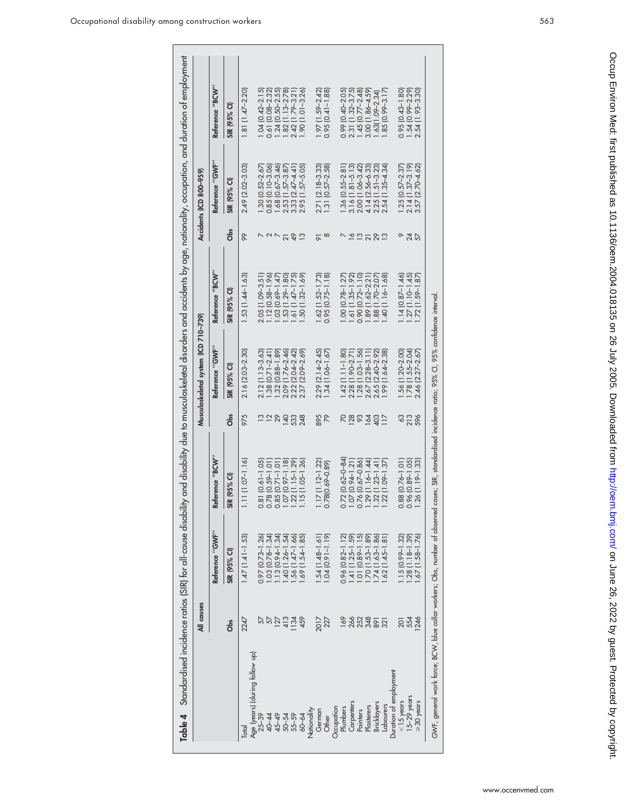|                                             | All causes |                        |                        |                | Musculoskeletal system (ICD 710-739)       |                                        |               | Accidents (ICD 800-959) |                        |
|---------------------------------------------|------------|------------------------|------------------------|----------------|--------------------------------------------|----------------------------------------|---------------|-------------------------|------------------------|
|                                             |            | Reference "GWF"        | Reference "BCW"        |                | Reference "GWF"                            | Reference "BCW"                        |               | Reference "GWF"         | Reference "BCW"        |
|                                             | ds         | SIR (95% CI)           | <b>SIR (95% CI)</b>    | dis            | SIR (95% CI)                               | SIR (95% CI)                           | ď             | <b>SIR (95% CI)</b>     | <b>SIR (95% CI)</b>    |
| Total                                       | 2247       | $1.47$ (1.41-1.53)     | $1.11(1.07 - 1.16)$    | 975            | $2.16(2.03 - 2.30)$                        | $1.53$ $(1.44 - 1.63)$                 | 99            | 2.49 (2.02-3.03)        | $1.81(1.47 - 2.20)$    |
| Age (years) (during follow up)<br>$25 - 39$ |            | $0.97$ (0.73-1.26)     | $0.81$ $(0.61 - 1.05)$ |                | $2.12$ (1.13-3.63)                         | 2.05 (1.09-3.51                        |               | $1.30(0.52 - 2.67)$     | $1.04(0.42 - 2.15)$    |
| 40-44                                       | 57         | $1.03$ $(0.78 - 1.34)$ | $0.78$ $(0.59 - 1.01)$ |                |                                            | $1.12(0.58 - 1.96)$                    |               | $0.85$ $(0.10 - 3.06)$  | $0.61$ $(0.08 - 2.32)$ |
|                                             | 127        | $1.13(0.94 - 1.34)$    | $0.85(0.71 - 1.01)$    | $12^{2}$       | $1.38(0.71 - 2.41)$<br>$1.32(0.88 - 1.89)$ | $1.03$ $(0.69 - 1.47)$                 | $\frac{1}{2}$ | $1.68$ $(0.67 - 3.46)$  | $1.24(0.50 - 2.55)$    |
| $45 - 49$<br>$50 - 54$<br>$55 - 59$         | 413        | 40 (1.26-1.54)         | $1.07(0.97 - 1.18)$    | 140            | 2.09 (1.76-2.46)                           | $1.53$ $(1.29 - 1.80)$                 |               | 2.53 (1.57-3.87)        | $1.82$ (1.13-2.78)     |
|                                             | 134        | $.56$ $(1.47 - 1.66)$  | $1.22$ $(1.15 - 1.29)$ | 533            | $2.22$ $(2.04 - 2.42)$                     | $.61(1.47-1.75)$                       | 742           | $3.33$ $(2.47 - 4.4)$   | 2.42 (1.79-3.21        |
| 60-64                                       | 459        | $.69$ $(1.54 - 1.85)$  | $1.15(1.05 - 1.26)$    |                | 2.37 (2.09-2.69)                           | $.50$ $(1.32 - 1.69)$                  |               | 2.95 (1.57-5.05)        | $1.90(1.01 - 3.26)$    |
| Nationality                                 |            |                        |                        |                |                                            |                                        |               |                         |                        |
| German                                      | 2017       | $.54(1.48 - 1.61)$     | $1.17(1.12-1.22)$      | 895            | $2.29(2.14 - 2.45)$                        | $1.62$ (1.52-1.73)                     | 5             | 2.71 (2.18-3.33)        | $1.97$ (1.59-2.42)     |
| Other                                       | 227        | $1.04(0.91 - 1.19)$    | $0.78(0.69 - 0.89)$    |                | $1.34(1.06 - 1.67)$                        | $0.95(0.75 - 1.18)$                    | $\infty$      | $1.31 (0.57 - 2.58)$    | $0.95(0.41 - 1.88)$    |
| Occupation                                  |            |                        |                        |                |                                            |                                        |               |                         |                        |
| Plumbers                                    | 169        | $0.96(0.82 - 1.12)$    | $0.72(0.62 - 0 - 84)$  | R              | $1.42(1.11-1.80)$                          | $1.00(0.78 - 1.27)$                    |               | $1.36$ $(0.55 - 2.81)$  | $0.99$ $(0.40 - 2.05)$ |
| Carpenters                                  |            | $1.41$ $(1.25 - 1.59)$ | $1.07(0.94 - 1.21)$    |                | 2.28 (1.90-2.71                            | $1.61$ $(1.35 - 1.92)$                 |               | $3.16(1.81 - 5.13)$     | $2.31$ $(1.32 - 3.75)$ |
| Painters                                    |            | $1.01$ $(0.89 - 1.15)$ | $0.76$ (0.67 $-0.86$ ) | $\frac{28}{2}$ | $1.28(1.03 - 1.56)$                        | $0.90$ $(0.72 - 1.10)$                 |               | 2.00 (1.06-3.42)        | $1.45(0.77 - 2.48)$    |
| Plasterers                                  |            | $.70(1.53 - 1.89)$     | $1.29$ (1.16-1.44)     |                | $2.67$ ( $2.28 - 3.11$ )                   | $1.89$ $(1.62 - 2.21)$                 |               | 4.14 (2.56-6.33)        | $3.00(1.86 - 4.59)$    |
| <b>Bricklayers</b>                          | 252851     | $.74(1.63 - 1.86)$     | $1.32$ $(1.23 - 1.41)$ | 164            | 2.65 (2.40-2.92)                           | 1.88 (1.70-2.07)                       | <b>12582</b>  | $2.25$ (1.51-3.23)      | $1.63(1.09 - 2.34)$    |
| Labourers                                   | 321        | $.62$ (1.45-1.81       | $.22(1.09 - 1.37)$     | $\geq$         | $1.99$ (1.64-2.38)                         | $40(1.16 - 1.68)$                      |               | 2.54 (1.35-4.34)        | $.85(0.99 - 3.17)$     |
| Duration ot employment                      |            |                        |                        |                |                                            |                                        |               |                         |                        |
| $<$ 15 years                                | 201        | $1.15(0.99 - 1.32)$    | $0.88$ $(0.76 - 1.01)$ | 63             | $1.56$ $(1.20 - 2.00)$                     | $1.14(0.87 - 1.46)$                    | ᡐ             | $1.25(0.57 - 2.37)$     | $0.95(0.43 - 1.80)$    |
| $15-29$ years                               | 554        | $1.28$ (1.18-1.39)     | $0.96$ $(0.89 - 1.05)$ | 213            | $1.78(1.55 - 2.04)$                        | $1.27$ (1.10-1.45)<br>1.72 (1.59-1.87) | 24            | $2.14(1.37 - 3.19)$     | $1.54(0.99 - 2.29)$    |
| $\geq$ 30 years                             | 246        | $.67$ (1.58-1.76)      | $1.26$ (1.19-1.33)     |                | $2.46$ $(2.27 - 2.67)$                     |                                        |               | $3.57$ $(2.70 - 4.62)$  | 2.54 (1.93-3.30)       |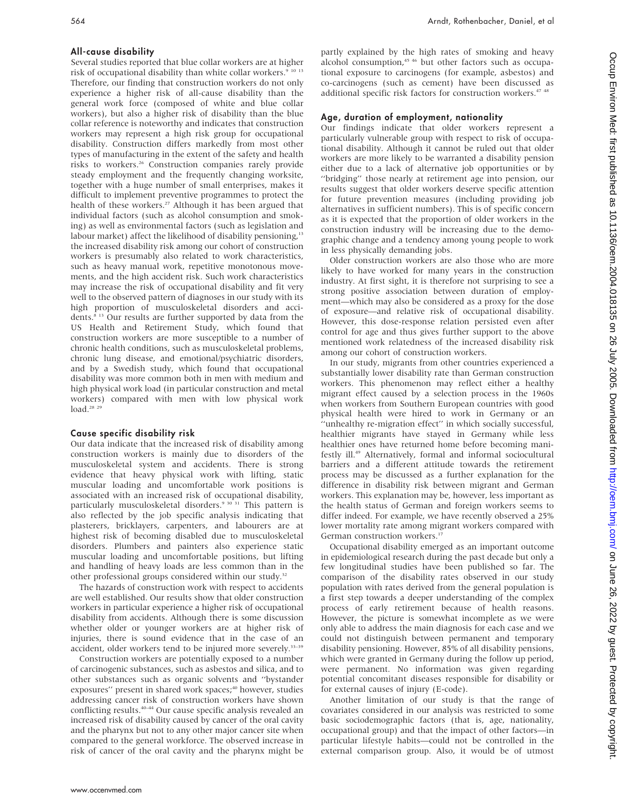#### All-cause disability

Several studies reported that blue collar workers are at higher risk of occupational disability than white collar workers.<sup>9 10 13</sup> Therefore, our finding that construction workers do not only experience a higher risk of all-cause disability than the general work force (composed of white and blue collar workers), but also a higher risk of disability than the blue collar reference is noteworthy and indicates that construction workers may represent a high risk group for occupational disability. Construction differs markedly from most other types of manufacturing in the extent of the safety and health risks to workers.26 Construction companies rarely provide steady employment and the frequently changing worksite, together with a huge number of small enterprises, makes it difficult to implement preventive programmes to protect the health of these workers.<sup>27</sup> Although it has been argued that individual factors (such as alcohol consumption and smoking) as well as environmental factors (such as legislation and labour market) affect the likelihood of disability pensioning,<sup>13</sup> the increased disability risk among our cohort of construction workers is presumably also related to work characteristics, such as heavy manual work, repetitive monotonous movements, and the high accident risk. Such work characteristics may increase the risk of occupational disability and fit very well to the observed pattern of diagnoses in our study with its high proportion of musculoskeletal disorders and accidents.8 13 Our results are further supported by data from the US Health and Retirement Study, which found that construction workers are more susceptible to a number of chronic health conditions, such as musculoskeletal problems, chronic lung disease, and emotional/psychiatric disorders, and by a Swedish study, which found that occupational disability was more common both in men with medium and high physical work load (in particular construction and metal workers) compared with men with low physical work load. $28$ <sub>29</sub>

### Cause specific disability risk

Our data indicate that the increased risk of disability among construction workers is mainly due to disorders of the musculoskeletal system and accidents. There is strong evidence that heavy physical work with lifting, static muscular loading and uncomfortable work positions is associated with an increased risk of occupational disability, particularly musculoskeletal disorders.<sup>9 30 31</sup> This pattern is also reflected by the job specific analysis indicating that plasterers, bricklayers, carpenters, and labourers are at highest risk of becoming disabled due to musculoskeletal disorders. Plumbers and painters also experience static muscular loading and uncomfortable positions, but lifting and handling of heavy loads are less common than in the other professional groups considered within our study.32

The hazards of construction work with respect to accidents are well established. Our results show that older construction workers in particular experience a higher risk of occupational disability from accidents. Although there is some discussion whether older or younger workers are at higher risk of injuries, there is sound evidence that in the case of an accident, older workers tend to be injured more severely.33–39

Construction workers are potentially exposed to a number of carcinogenic substances, such as asbestos and silica, and to other substances such as organic solvents and ''bystander exposures" present in shared work spaces;<sup>40</sup> however, studies addressing cancer risk of construction workers have shown conflicting results.40–44 Our cause specific analysis revealed an increased risk of disability caused by cancer of the oral cavity and the pharynx but not to any other major cancer site when compared to the general workforce. The observed increase in risk of cancer of the oral cavity and the pharynx might be partly explained by the high rates of smoking and heavy alcohol consumption,<sup>45 46</sup> but other factors such as occupational exposure to carcinogens (for example, asbestos) and co-carcinogens (such as cement) have been discussed as additional specific risk factors for construction workers.<sup>47 48</sup>

#### Age, duration of employment, nationality

Our findings indicate that older workers represent a particularly vulnerable group with respect to risk of occupational disability. Although it cannot be ruled out that older workers are more likely to be warranted a disability pension either due to a lack of alternative job opportunities or by ''bridging'' those nearly at retirement age into pension, our results suggest that older workers deserve specific attention for future prevention measures (including providing job alternatives in sufficient numbers). This is of specific concern as it is expected that the proportion of older workers in the construction industry will be increasing due to the demographic change and a tendency among young people to work in less physically demanding jobs.

Older construction workers are also those who are more likely to have worked for many years in the construction industry. At first sight, it is therefore not surprising to see a strong positive association between duration of employment—which may also be considered as a proxy for the dose of exposure—and relative risk of occupational disability. However, this dose-response relation persisted even after control for age and thus gives further support to the above mentioned work relatedness of the increased disability risk among our cohort of construction workers.

In our study, migrants from other countries experienced a substantially lower disability rate than German construction workers. This phenomenon may reflect either a healthy migrant effect caused by a selection process in the 1960s when workers from Southern European countries with good physical health were hired to work in Germany or an ''unhealthy re-migration effect'' in which socially successful, healthier migrants have stayed in Germany while less healthier ones have returned home before becoming manifestly ill.49 Alternatively, formal and informal sociocultural barriers and a different attitude towards the retirement process may be discussed as a further explanation for the difference in disability risk between migrant and German workers. This explanation may be, however, less important as the health status of German and foreign workers seems to differ indeed. For example, we have recently observed a 25% lower mortality rate among migrant workers compared with German construction workers.<sup>17</sup>

Occupational disability emerged as an important outcome in epidemiological research during the past decade but only a few longitudinal studies have been published so far. The comparison of the disability rates observed in our study population with rates derived from the general population is a first step towards a deeper understanding of the complex process of early retirement because of health reasons. However, the picture is somewhat incomplete as we were only able to address the main diagnosis for each case and we could not distinguish between permanent and temporary disability pensioning. However, 85% of all disability pensions, which were granted in Germany during the follow up period, were permanent. No information was given regarding potential concomitant diseases responsible for disability or for external causes of injury (E-code).

Another limitation of our study is that the range of covariates considered in our analysis was restricted to some basic sociodemographic factors (that is, age, nationality, occupational group) and that the impact of other factors—in particular lifestyle habits—could not be controlled in the external comparison group. Also, it would be of utmost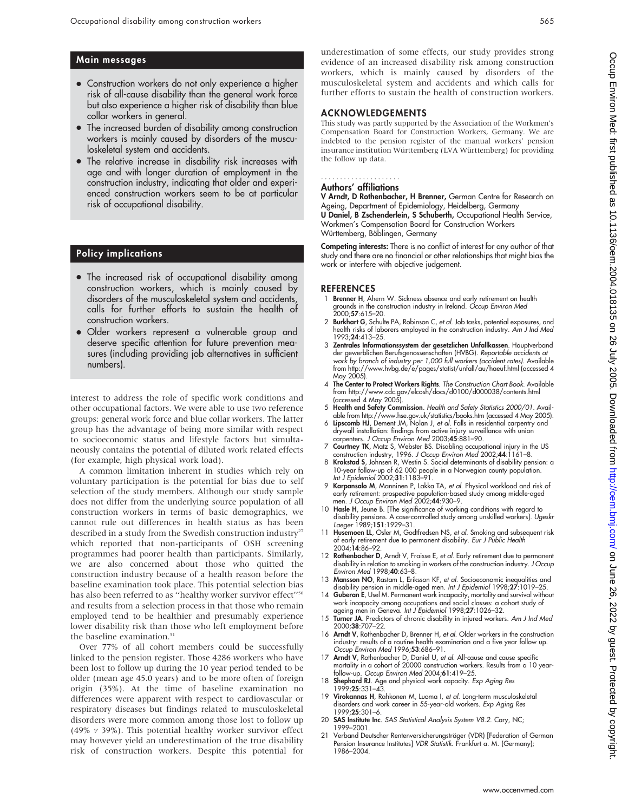### Main messages

- Construction workers do not only experience a higher risk of all-cause disability than the general work force but also experience a higher risk of disability than blue collar workers in general.
- The increased burden of disability among construction workers is mainly caused by disorders of the musculoskeletal system and accidents.
- The relative increase in disability risk increases with age and with longer duration of employment in the construction industry, indicating that older and experienced construction workers seem to be at particular risk of occupational disability.

## Policy implications

- The increased risk of occupational disability among construction workers, which is mainly caused by disorders of the musculoskeletal system and accidents, calls for further efforts to sustain the health of construction workers.
- Older workers represent a vulnerable group and deserve specific attention for future prevention measures (including providing job alternatives in sufficient numbers).

interest to address the role of specific work conditions and other occupational factors. We were able to use two reference groups: general work force and blue collar workers. The latter group has the advantage of being more similar with respect to socioeconomic status and lifestyle factors but simultaneously contains the potential of diluted work related effects (for example, high physical work load).

A common limitation inherent in studies which rely on voluntary participation is the potential for bias due to self selection of the study members. Although our study sample does not differ from the underlying source population of all construction workers in terms of basic demographics, we cannot rule out differences in health status as has been described in a study from the Swedish construction industry<sup>27</sup> which reported that non-participants of OSH screening programmes had poorer health than participants. Similarly, we are also concerned about those who quitted the construction industry because of a health reason before the baseline examination took place. This potential selection bias has also been referred to as "healthy worker survivor effect"<sup>50</sup> and results from a selection process in that those who remain employed tend to be healthier and presumably experience lower disability risk than those who left employment before the baseline examination.<sup>51</sup>

Over 77% of all cohort members could be successfully linked to the pension register. Those 4286 workers who have been lost to follow up during the 10 year period tended to be older (mean age 45.0 years) and to be more often of foreign origin (35%). At the time of baseline examination no differences were apparent with respect to cardiovascular or respiratory diseases but findings related to musculoskeletal disorders were more common among those lost to follow up (49%  $\nu$  39%). This potential healthy worker survivor effect may however yield an underestimation of the true disability risk of construction workers. Despite this potential for

underestimation of some effects, our study provides strong evidence of an increased disability risk among construction workers, which is mainly caused by disorders of the musculoskeletal system and accidents and which calls for further efforts to sustain the health of construction workers.

#### ACKNOWLEDGEMENTS

This study was partly supported by the Association of the Workmen's Compensation Board for Construction Workers, Germany. We are indebted to the pension register of the manual workers' pension insurance institution Württemberg (LVA Württemberg) for providing the follow up data.

#### Authors' affiliations .....................

V Arndt, D Rothenbacher, H Brenner, German Centre for Research on Ageing, Department of Epidemiology, Heidelberg, Germany U Daniel, B Zschenderlein, S Schuberth, Occupational Health Service, Workmen's Compensation Board for Construction Workers Württemberg, Böblingen, Germany

Competing interests: There is no conflict of interest for any author of that study and there are no financial or other relationships that might bias the work or interfere with objective judgement.

#### REFERENCES

- 1 **Brenner H**, Ahern W. Sickness absence and early retirement on health grounds in the construction industry in Ireland. *Occup Environ Med*<br>2000;**57**:615–20.
- 2 Burkhart G, Schulte PA, Robinson C, et al. Job tasks, potential exposures, and health risks of laborers employed in the construction industry. Am J Ind Med 1993;24:413–25.
- 3 Zentrales Informationssystem der gesetzlichen Unfallkassen. Hauptverband der gewerblichen Berufsgenossenschaften (HVBG). Reportable accidents at work by branch of industry per 1,000 full workers (accident rates). Available from http://www.hvbg.de/e/pages/statist/unfall/au/haeuf.html (accessed 4 May 2005).
- 4 The Center to Protect Workers Rights. The Construction Chart Book. Available from http://www.cdc.gov/elcosh/docs/d0100/d000038/contents.html accessed 4 May 2005).
- 5 Health and Safety Commission. Health and Safety Statistics 2000/01. Available from http://www.hse.gov.uk/statistics/books.htm (accessed 4 May 2005).
- 6 Lipscomb HJ, Dement JM, Nolan J, et al. Falls in residential carpentry and drywall installation: findings from active injury surveillance with union carpenters. J Occup Environ Med 2003;45:881–90.
- 7 Courtney TK, Matz S, Webster BS. Disabling occupational injury in the US construction industry, 1996. J Occup Environ Med 2002;44:1161-8.
- 8 Krokstad S, Johnsen R, Westin S. Social determinants of disability pension: a 10-year follow-up of 62 000 people in a Norwegian county population. Int J Epidemiol 2002;31:1183–91.
- 9 Karpansalo M, Manninen P, Lakka TA, et al. Physical workload and risk of early retirement: prospective population-based study among middle-aged men. J Occup Environ Med 2002;44:930–9.
- 10 Hasle H, Jeune B. [The significance of working conditions with regard to disability pensions. A case-controlled study among unskilled workers]. Ugeskr Laeger 1989;151:1929–31.
- 11 Husemoen LL, Osler M, Godtfredsen NS, et al. Smoking and subsequent risk of early retirement due to permanent disability. Eur J Public Health 2004;14:86–92.
- 12 Rothenbacher D, Arndt V, Fraisse E, et al. Early retirement due to permanent disability in relation to smoking in workers of the construction industry. J Occup Environ Med 1998;40:63–8.
- 13 Mansson NO, Rastam L, Eriksson KF, et al. Socioeconomic inequalities and disability pension in middle-aged men. Int J Epidemiol 1998;27:1019-25.
- 14 Guberan E, Usel M. Permanent work incapacity, mortality and survival without work incapacity among occupations and social classes: a cohort study of ageing men in Geneva. Int J Epidemiol 1998;27:1026–32.
- 15 Turner JA. Predictors of chronic disability in injured workers. Am J Ind Med 2000;38:707–22.
- 16 Arndt V, Rothenbacher D, Brenner H, et al. Older workers in the construction industry: results of a routine health examination and a five year follow up. Occup Environ Med 1996;53:686–91.
- 17 Arndt V, Rothenbacher D, Daniel U, et al. All-cause and cause specific mortality in a cohort of 20000 construction workers. Results from a 10 yearfollow-up. Occup Environ Med 2004;61:419–25.
- 18 Shephard RJ. Age and physical work capacity. Exp Aging Res 1999;25:331–43.
- 19 Virokannas H, Rahkonen M, Luoma I, et al. Long-term musculoskeletal disorders and work career in 55-year-old workers. Exp Aging Res 1999;25:301–6.
- 20 SAS Institute Inc. SAS Statistical Analysis System V8.2. Cary, NC; 1999–2001.
- 21 Verband Deutscher Rentenversicherungsträger (VDR) [Federation of German Pension Insurance Institutes] VDR Statistik. Frankfurt a. M. (Germany); 1986–2004.